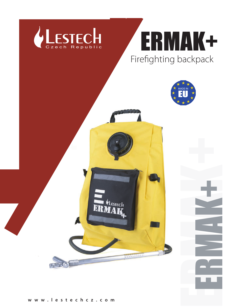





ERMAK+

ERMAK+

**w w w . l e s t e c h c z . c o m**

**ESTECH** 

19999999999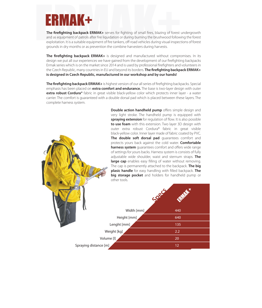**ERMAK+** serves for fighting of small fires, blazing of forest unde<br>and as equipment of patrols after fire liquidation or during burning the brushwood following the<br>exploitation. It is a suitable equipment of fire tankers, **The firefighting backpack ERMAK+** serves for fighting of small fires, blazing of forest undergrowth and as equipment of patrols after fire liquidation or during burning the brushwood following the forest exploitation. It is a suitable equipment of fire tankers, off-road vehicles during visual inspections of forest grounds in dry months or as prevention the combine harvesters during harvests.

**The firefighting backpack ERMAK+** is designed and manufactured without compromises. In its design we put all our experiences we have gained from the development of our firefighting backpacks Ermak series which is on the market since 2014 and is used by professional firefighters and volunteers in the Czech Republic, many countries in EU and beyond its borders. **The firefighting backpack ERMAK+ is designed in Czech Republic, manufactured in our workshop and by our hands!**

**The firefighting backpack ERMAK+** is highest version of our all series of firefighting backpacks. Special emphasis has been placed on **extra comfort and endurance.** The base is two-layer design with outer **extra robust Cordura®** fabric in great visible black-yellow color which protects inner layer - a water carrier. The comfort is guaranteed with a double dorsal pad which is placed between these layers. The complete harness system.

> **Double action handheld pump** offers simple design and very light stroke. The handheld pump is equipped with **spraying extension** for regulation of flow. It is also possible **to use foam** with this extension. Two layer 3D design with outer extra robust Cordura® fabric in great visible black-yellow color. Inner layer made of fabric coated by PVC. **The double soft dorsal pad** guarantees comfort and protects yours back against the cold water. **Comfortable harness system** guarantees comfort and offers wide range of settings for yours backs. Harness system is consists of fully adjustable wide shoulder, waist and sternum straps. **The large cap** enables easy filling of water without removing. The cap is permanently attached to the backpack. **The big plasic handle** for easy handling with filled backpack. **The big storage pocket** and holders for handheld pump or other tools.

|                       | LOCK        | <b>CENTER</b> |
|-----------------------|-------------|---------------|
|                       | Width [mm]  | 440           |
|                       | Height [mm] | 640           |
|                       | Lenght [mm] | 135           |
|                       | Weight [kg] | 2.2           |
|                       | Volume [l]  | 20            |
| Spraying distance [m] |             | 12            |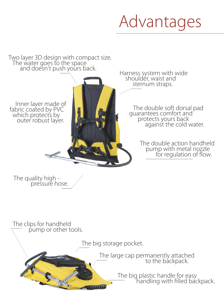# Advantages

#### Two layer 3D design with compact size. The water goes to the space and doesn't push yours back.

 Inner layer made of fabric coated by PVC which protects by outer robust layer.

Harness system with wide shouldér, waist and sternum straps.

> The double soft dorsal pad guarantees comfort and protects yours back **against the cold water.**

> > The double action handheld pump with metal nozzle for regulation of flow.

The quality high pressure hose.

The clips for handheld pump or other tools.

The big storage pocket.

The large cap permanently attached and the backpack.

> The big plastic handle for easy — Thandling with filled backpack.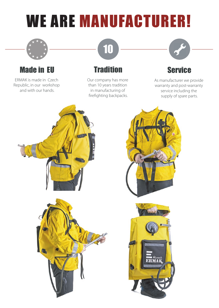# WE ARE MANUFACTURER!



## Made in EU

ERMAK is made in Czech Republic, in our workshop and with our hands.

# **Tradition**

10

Our company has more than 10 years tradition in manufacturing of firefighting backpacks.



## **Service**

As manufacturer we provide warranty and post-warranty service including the supply of spare parts.